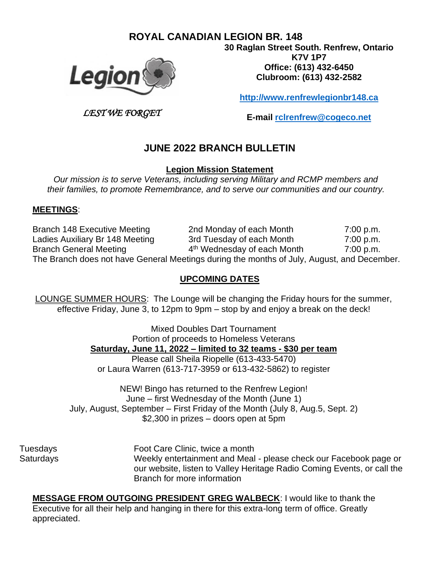## **ROYAL CANADIAN LEGION BR. 148**



*LEST WE FORGET*

**30 Raglan Street South. Renfrew, Ontario K7V 1P7 Office: (613) 432-6450 Clubroom: (613) 432-2582**

**[http://www.renfrewlegionbr148.ca](http://www.renfrewlegionbr148.ca/)**

**E-mail [rclrenfrew@cogeco.net](mailto:rclrenfrew@cogeco.net)**

# **JUNE 2022 BRANCH BULLETIN**

**Legion Mission Statement**

*Our mission is to serve Veterans, including serving Military and RCMP members and their families, to promote Remembrance, and to serve our communities and our country.*

#### **MEETINGS**:

Branch 148 Executive Meeting 2nd Monday of each Month 7:00 p.m. Ladies Auxiliary Br 148 Meeting 3rd Tuesday of each Month 7:00 p.m. Branch General Meeting 4 4<sup>th</sup> Wednesday of each Month 7:00 p.m. The Branch does not have General Meetings during the months of July, August, and December.

#### **UPCOMING DATES**

LOUNGE SUMMER HOURS: The Lounge will be changing the Friday hours for the summer, effective Friday, June 3, to 12pm to 9pm – stop by and enjoy a break on the deck!

> Mixed Doubles Dart Tournament Portion of proceeds to Homeless Veterans **Saturday, June 11, 2022 – limited to 32 teams - \$30 per team**

Please call Sheila Riopelle (613-433-5470) or Laura Warren (613-717-3959 or 613-432-5862) to register

NEW! Bingo has returned to the Renfrew Legion! June – first Wednesday of the Month (June 1) July, August, September – First Friday of the Month (July 8, Aug.5, Sept. 2) \$2,300 in prizes – doors open at 5pm

Tuesdays Foot Care Clinic, twice a month Saturdays Weekly entertainment and Meal - please check our Facebook page or our website, listen to Valley Heritage Radio Coming Events, or call the Branch for more information

**MESSAGE FROM OUTGOING PRESIDENT GREG WALBECK**: I would like to thank the Executive for all their help and hanging in there for this extra-long term of office. Greatly appreciated.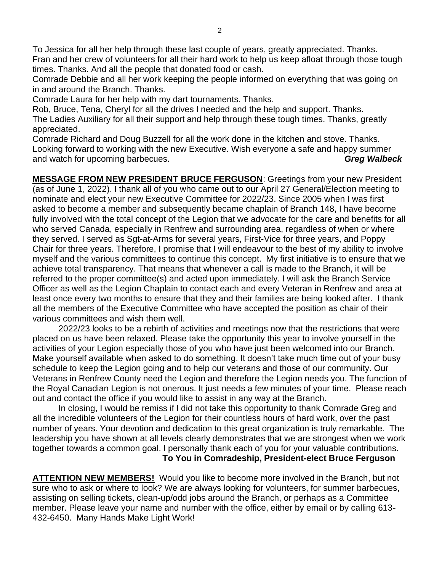To Jessica for all her help through these last couple of years, greatly appreciated. Thanks. Fran and her crew of volunteers for all their hard work to help us keep afloat through those tough times. Thanks. And all the people that donated food or cash.

Comrade Debbie and all her work keeping the people informed on everything that was going on in and around the Branch. Thanks.

Comrade Laura for her help with my dart tournaments. Thanks.

Rob, Bruce, Tena, Cheryl for all the drives I needed and the help and support. Thanks. The Ladies Auxiliary for all their support and help through these tough times. Thanks, greatly appreciated.

Comrade Richard and Doug Buzzell for all the work done in the kitchen and stove. Thanks. Looking forward to working with the new Executive. Wish everyone a safe and happy summer and watch for upcoming barbecues. *Greg Walbeck*

**MESSAGE FROM NEW PRESIDENT BRUCE FERGUSON**: Greetings from your new President (as of June 1, 2022). I thank all of you who came out to our April 27 General/Election meeting to nominate and elect your new Executive Committee for 2022/23. Since 2005 when I was first asked to become a member and subsequently became chaplain of Branch 148, I have become fully involved with the total concept of the Legion that we advocate for the care and benefits for all who served Canada, especially in Renfrew and surrounding area, regardless of when or where they served. I served as Sgt-at-Arms for several years, First-Vice for three years, and Poppy Chair for three years. Therefore, I promise that I will endeavour to the best of my ability to involve myself and the various committees to continue this concept. My first initiative is to ensure that we achieve total transparency. That means that whenever a call is made to the Branch, it will be referred to the proper committee(s) and acted upon immediately. I will ask the Branch Service Officer as well as the Legion Chaplain to contact each and every Veteran in Renfrew and area at least once every two months to ensure that they and their families are being looked after. I thank all the members of the Executive Committee who have accepted the position as chair of their various committees and wish them well.

2022/23 looks to be a rebirth of activities and meetings now that the restrictions that were placed on us have been relaxed. Please take the opportunity this year to involve yourself in the activities of your Legion especially those of you who have just been welcomed into our Branch. Make yourself available when asked to do something. It doesn't take much time out of your busy schedule to keep the Legion going and to help our veterans and those of our community. Our Veterans in Renfrew County need the Legion and therefore the Legion needs you. The function of the Royal Canadian Legion is not onerous. It just needs a few minutes of your time. Please reach out and contact the office if you would like to assist in any way at the Branch.

In closing, I would be remiss if I did not take this opportunity to thank Comrade Greg and all the incredible volunteers of the Legion for their countless hours of hard work, over the past number of years. Your devotion and dedication to this great organization is truly remarkable. The leadership you have shown at all levels clearly demonstrates that we are strongest when we work together towards a common goal. I personally thank each of you for your valuable contributions.

**To You in Comradeship, President-elect Bruce Ferguson** 

**ATTENTION NEW MEMBERS!** Would you like to become more involved in the Branch, but not sure who to ask or where to look? We are always looking for volunteers, for summer barbecues, assisting on selling tickets, clean-up/odd jobs around the Branch, or perhaps as a Committee member. Please leave your name and number with the office, either by email or by calling 613- 432-6450. Many Hands Make Light Work!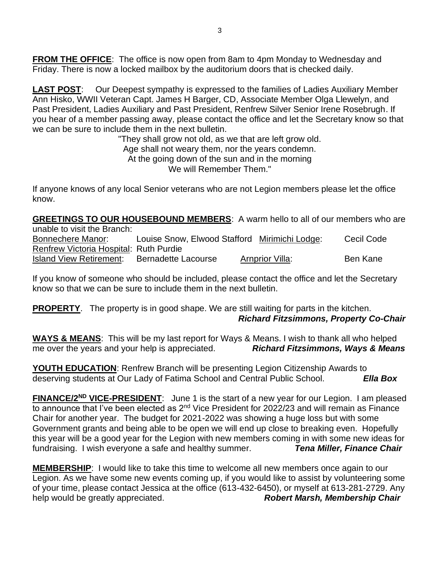**FROM THE OFFICE:** The office is now open from 8am to 4pm Monday to Wednesday and Friday. There is now a locked mailbox by the auditorium doors that is checked daily.

**LAST POST**: Our Deepest sympathy is expressed to the families of Ladies Auxiliary Member Ann Hisko, WWII Veteran Capt. James H Barger, CD, Associate Member Olga Llewelyn, and Past President, Ladies Auxiliary and Past President, Renfrew Silver Senior Irene Rosebrugh. If you hear of a member passing away, please contact the office and let the Secretary know so that we can be sure to include them in the next bulletin.

> "They shall grow not old, as we that are left grow old. Age shall not weary them, nor the years condemn. At the going down of the sun and in the morning We will Remember Them."

If anyone knows of any local Senior veterans who are not Legion members please let the office know.

**GREETINGS TO OUR HOUSEBOUND MEMBERS**: A warm hello to all of our members who are unable to visit the Branch:

Bonnechere Manor: Louise Snow, Elwood Stafford Mirimichi Lodge: Cecil Code Renfrew Victoria Hospital: Ruth Purdie Island View Retirement: Bernadette Lacourse Arnprior Villa: Ben Kane

If you know of someone who should be included, please contact the office and let the Secretary know so that we can be sure to include them in the next bulletin.

**PROPERTY**. The property is in good shape. We are still waiting for parts in the kitchen. *Richard Fitzsimmons, Property Co-Chair*

**WAYS & MEANS**: This will be my last report for Ways & Means. I wish to thank all who helped me over the years and your help is appreciated. *Richard Fitzsimmons, Ways & Means*

**YOUTH EDUCATION**: Renfrew Branch will be presenting Legion Citizenship Awards to deserving students at Our Lady of Fatima School and Central Public School. *Ella Box*

FINANCE/2<sup>ND</sup> VICE-PRESIDENT: June 1 is the start of a new year for our Legion. I am pleased to announce that I've been elected as 2<sup>nd</sup> Vice President for 2022/23 and will remain as Finance Chair for another year. The budget for 2021-2022 was showing a huge loss but with some Government grants and being able to be open we will end up close to breaking even. Hopefully this year will be a good year for the Legion with new members coming in with some new ideas for fundraising. I wish everyone a safe and healthy summer. *Tena Miller, Finance Chair*

**MEMBERSHIP**: I would like to take this time to welcome all new members once again to our Legion. As we have some new events coming up, if you would like to assist by volunteering some of your time, please contact Jessica at the office (613-432-6450), or myself at 613-281-2729. Any help would be greatly appreciated. **Robert Marsh, Membership Chair**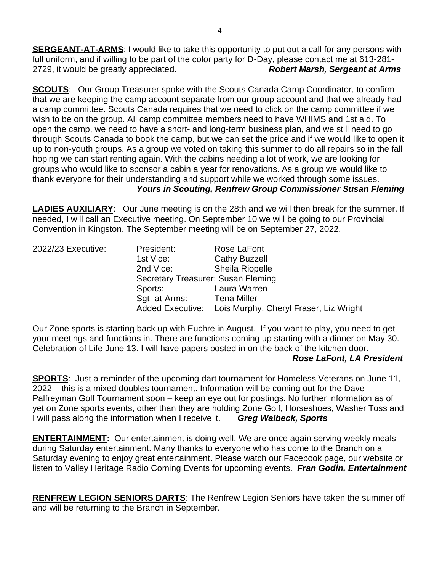**SERGEANT-AT-ARMS:** I would like to take this opportunity to put out a call for any persons with full uniform, and if willing to be part of the color party for D-Day, please contact me at 613-281- 2729, it would be greatly appreciated. *Robert Marsh, Sergeant at Arms*

**SCOUTS:** Our Group Treasurer spoke with the Scouts Canada Camp Coordinator, to confirm that we are keeping the camp account separate from our group account and that we already had a camp committee. Scouts Canada requires that we need to click on the camp committee if we wish to be on the group. All camp committee members need to have WHIMS and 1st aid. To open the camp, we need to have a short- and long-term business plan, and we still need to go through Scouts Canada to book the camp, but we can set the price and if we would like to open it up to non-youth groups. As a group we voted on taking this summer to do all repairs so in the fall hoping we can start renting again. With the cabins needing a lot of work, we are looking for groups who would like to sponsor a cabin a year for renovations. As a group we would like to thank everyone for their understanding and support while we worked through some issues.

### *Yours in Scouting, Renfrew Group Commissioner Susan Fleming*

**LADIES AUXILIARY**: Our June meeting is on the 28th and we will then break for the summer. If needed, I will call an Executive meeting. On September 10 we will be going to our Provincial Convention in Kingston. The September meeting will be on September 27, 2022.

| 2022/23 Executive: | President:              | Rose LaFont                            |  |  |  |
|--------------------|-------------------------|----------------------------------------|--|--|--|
|                    | 1st Vice:               | <b>Cathy Buzzell</b>                   |  |  |  |
|                    | 2nd Vice:               | <b>Sheila Riopelle</b>                 |  |  |  |
|                    |                         | Secretary Treasurer: Susan Fleming     |  |  |  |
|                    | Sports:                 | Laura Warren                           |  |  |  |
|                    | Sgt- at-Arms:           | <b>Tena Miller</b>                     |  |  |  |
|                    | <b>Added Executive:</b> | Lois Murphy, Cheryl Fraser, Liz Wright |  |  |  |

Our Zone sports is starting back up with Euchre in August. If you want to play, you need to get your meetings and functions in. There are functions coming up starting with a dinner on May 30. Celebration of Life June 13. I will have papers posted in on the back of the kitchen door. *Rose LaFont, LA President*

**SPORTS**: Just a reminder of the upcoming dart tournament for Homeless Veterans on June 11, 2022 – this is a mixed doubles tournament. Information will be coming out for the Dave Palfreyman Golf Tournament soon – keep an eye out for postings. No further information as of yet on Zone sports events, other than they are holding Zone Golf, Horseshoes, Washer Toss and I will pass along the information when I receive it. *Greg Walbeck, Sports*

**ENTERTAINMENT:** Our entertainment is doing well. We are once again serving weekly meals during Saturday entertainment. Many thanks to everyone who has come to the Branch on a Saturday evening to enjoy great entertainment. Please watch our Facebook page, our website or listen to Valley Heritage Radio Coming Events for upcoming events. *Fran Godin, Entertainment*

**RENFREW LEGION SENIORS DARTS**: The Renfrew Legion Seniors have taken the summer off and will be returning to the Branch in September.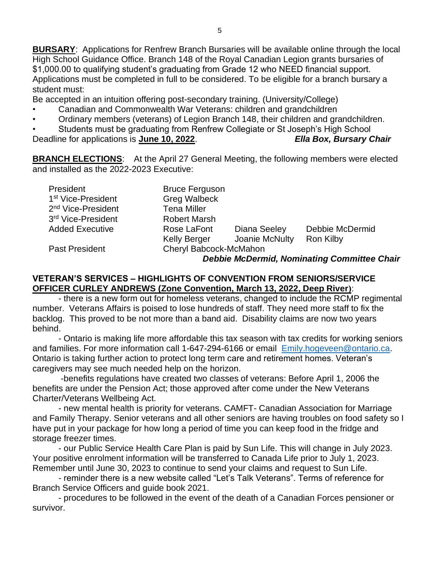**BURSARY**: Applications for Renfrew Branch Bursaries will be available online through the local High School Guidance Office. Branch 148 of the Royal Canadian Legion grants bursaries of \$1,000.00 to qualifying student's graduating from Grade 12 who NEED financial support. Applications must be completed in full to be considered. To be eligible for a branch bursary a student must:

Be accepted in an intuition offering post-secondary training. (University/College)

- Canadian and Commonwealth War Veterans: children and grandchildren
- Ordinary members (veterans) of Legion Branch 148, their children and grandchildren.

• Students must be graduating from Renfrew Collegiate or St Joseph's High School Deadline for applications is **June 10, 2022**. *Ella Box, Bursary Chair*

**BRANCH ELECTIONS:** At the April 27 General Meeting, the following members were elected and installed as the 2022-2023 Executive:

| President                      | <b>Bruce Ferguson</b>  |                |                 |  |
|--------------------------------|------------------------|----------------|-----------------|--|
| 1 <sup>st</sup> Vice-President | <b>Greg Walbeck</b>    |                |                 |  |
| 2 <sup>nd</sup> Vice-President | <b>Tena Miller</b>     |                |                 |  |
| 3rd Vice-President             | <b>Robert Marsh</b>    |                |                 |  |
| <b>Added Executive</b>         | Rose LaFont            | Diana Seeley   | Debbie McDermid |  |
|                                | <b>Kelly Berger</b>    | Joanie McNulty | Ron Kilby       |  |
| <b>Past President</b>          | Cheryl Babcock-McMahon |                |                 |  |
|                                |                        |                |                 |  |

*Debbie McDermid, Nominating Committee Chair*

#### **VETERAN'S SERVICES – HIGHLIGHTS OF CONVENTION FROM SENIORS/SERVICE OFFICER CURLEY ANDREWS (Zone Convention, March 13, 2022, Deep River)**:

- there is a new form out for homeless veterans, changed to include the RCMP regimental number. Veterans Affairs is poised to lose hundreds of staff. They need more staff to fix the backlog. This proved to be not more than a band aid. Disability claims are now two years behind.

- Ontario is making life more affordable this tax season with tax credits for working seniors and families. For more information call 1-647-294-6166 or email [Emily.hogeveen@ontario.ca.](mailto:Emily.hogeveen@ontario.ca) Ontario is taking further action to protect long term care and retirement homes. Veteran's caregivers may see much needed help on the horizon.

-benefits regulations have created two classes of veterans: Before April 1, 2006 the benefits are under the Pension Act; those approved after come under the New Veterans Charter/Veterans Wellbeing Act.

- new mental health is priority for veterans. CAMFT- Canadian Association for Marriage and Family Therapy. Senior veterans and all other seniors are having troubles on food safety so I have put in your package for how long a period of time you can keep food in the fridge and storage freezer times.

- our Public Service Health Care Plan is paid by Sun Life. This will change in July 2023. Your positive enrolment information will be transferred to Canada Life prior to July 1, 2023. Remember until June 30, 2023 to continue to send your claims and request to Sun Life.

- reminder there is a new website called "Let's Talk Veterans". Terms of reference for Branch Service Officers and guide book 2021.

- procedures to be followed in the event of the death of a Canadian Forces pensioner or survivor.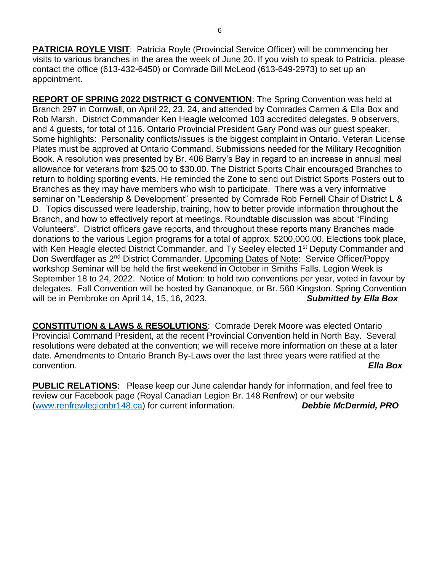**PATRICIA ROYLE VISIT**: Patricia Royle (Provincial Service Officer) will be commencing her visits to various branches in the area the week of June 20. If you wish to speak to Patricia, please contact the office (613-432-6450) or Comrade Bill McLeod (613-649-2973) to set up an appointment.

**REPORT OF SPRING 2022 DISTRICT G CONVENTION**: The Spring Convention was held at Branch 297 in Cornwall, on April 22, 23, 24, and attended by Comrades Carmen & Ella Box and Rob Marsh. District Commander Ken Heagle welcomed 103 accredited delegates, 9 observers, and 4 guests, for total of 116. Ontario Provincial President Gary Pond was our guest speaker. Some highlights: Personality conflicts/issues is the biggest complaint in Ontario. Veteran License Plates must be approved at Ontario Command. Submissions needed for the Military Recognition Book. A resolution was presented by Br. 406 Barry's Bay in regard to an increase in annual meal allowance for veterans from \$25.00 to \$30.00. The District Sports Chair encouraged Branches to return to holding sporting events. He reminded the Zone to send out District Sports Posters out to Branches as they may have members who wish to participate. There was a very informative seminar on "Leadership & Development" presented by Comrade Rob Fernell Chair of District L & D. Topics discussed were leadership, training, how to better provide information throughout the Branch, and how to effectively report at meetings. Roundtable discussion was about "Finding Volunteers". District officers gave reports, and throughout these reports many Branches made donations to the various Legion programs for a total of approx. \$200,000.00. Elections took place, with Ken Heagle elected District Commander, and Ty Seeley elected 1<sup>st</sup> Deputy Commander and Don Swerdfager as 2<sup>nd</sup> District Commander. Upcoming Dates of Note: Service Officer/Poppy workshop Seminar will be held the first weekend in October in Smiths Falls. Legion Week is September 18 to 24, 2022. Notice of Motion: to hold two conventions per year, voted in favour by delegates. Fall Convention will be hosted by Gananoque, or Br. 560 Kingston. Spring Convention will be in Pembroke on April 14, 15, 16, 2023. **Submitted by Ella Box** 

**CONSTITUTION & LAWS & RESOLUTIONS**: Comrade Derek Moore was elected Ontario Provincial Command President, at the recent Provincial Convention held in North Bay. Several resolutions were debated at the convention; we will receive more information on these at a later date. Amendments to Ontario Branch By-Laws over the last three years were ratified at the convention. *Ella Box*

**PUBLIC RELATIONS**: Please keep our June calendar handy for information, and feel free to review our Facebook page (Royal Canadian Legion Br. 148 Renfrew) or our website [\(www.renfrewlegionbr148.ca\)](http://www.renfrewlegionbr148.ca/) for current information. *Debbie McDermid, PRO*